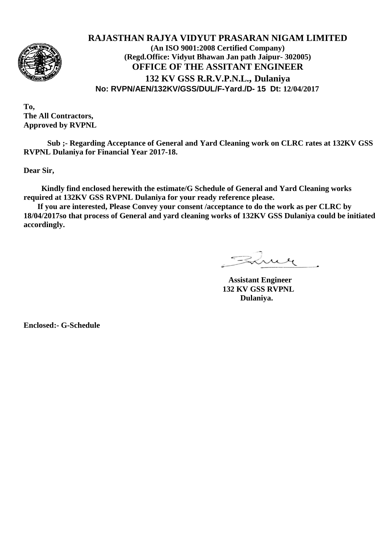

## **RAJASTHAN RAJYA VIDYUT PRASARAN NIGAM LIMITED (An ISO 9001:2008 Certified Company) (Regd.Office: Vidyut Bhawan Jan path Jaipur- 302005) OFFICE OF THE ASSITANT ENGINEER 132 KV GSS R.R.V.P.N.L., Dulaniya No: RVPN/AEN/132KV/GSS/DUL/F-Yard./D- 15 Dt: 12/04/2017**

**To, The All Contractors, Approved by RVPNL**

**Sub ;- Regarding Acceptance of General and Yard Cleaning work on CLRC rates at 132KV GSS RVPNL Dulaniya for Financial Year 2017-18.**

**Dear Sir,**

 **Kindly find enclosed herewith the estimate/G Schedule of General and Yard Cleaning works required at 132KV GSS RVPNL Dulaniya for your ready reference please.**

 **If you are interested, Please Convey your consent /acceptance to do the work as per CLRC by 18/04/2017so that process of General and yard cleaning works of 132KV GSS Dulaniya could be initiated accordingly.**

Fine

 **Assistant Engineer 132 KV GSS RVPNL Dulaniya.**

**Enclosed:- G-Schedule**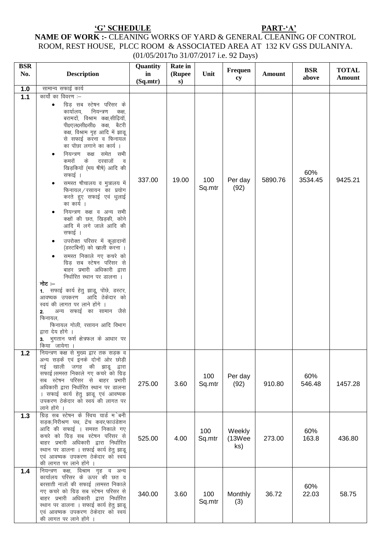## NAME OF WORK :- CLEANING WORKS OF YARD & GENERAL CLEANING OF CONTROL NAME OF WORK :- CLEANING WORKS OF YARD & GENERAL CLEANING OF CONTROL ROOM, REST HOUSE, PLCC ROOM & ASSOCIATED AREA AT 132 KV GSS DULANIYA. (01/05/2017to 31/07/2017 i.e. 92 Days)

| <b>BSR</b><br>No. | <b>Description</b>                                                                                                                                                                                                                                                                                                                                                                                                                                                                                                                                                                                                                                                                                                                                                                                                                                                                                                                                                                                             | Quantity<br>in | Rate in<br>(Rupee | Unit          | Frequen                 | <b>Amount</b> | <b>BSR</b>     | <b>TOTAL</b>  |
|-------------------|----------------------------------------------------------------------------------------------------------------------------------------------------------------------------------------------------------------------------------------------------------------------------------------------------------------------------------------------------------------------------------------------------------------------------------------------------------------------------------------------------------------------------------------------------------------------------------------------------------------------------------------------------------------------------------------------------------------------------------------------------------------------------------------------------------------------------------------------------------------------------------------------------------------------------------------------------------------------------------------------------------------|----------------|-------------------|---------------|-------------------------|---------------|----------------|---------------|
|                   |                                                                                                                                                                                                                                                                                                                                                                                                                                                                                                                                                                                                                                                                                                                                                                                                                                                                                                                                                                                                                | (Sq.mtr)       | s)                |               | cy                      |               | above          | <b>Amount</b> |
| 1.0               | सामान्य सफाई कार्य                                                                                                                                                                                                                                                                                                                                                                                                                                                                                                                                                                                                                                                                                                                                                                                                                                                                                                                                                                                             |                |                   |               |                         |               |                |               |
| 1.1               | कार्यो का विवरण :–<br>ग्रिड़ सब स्टेषन परिसर के<br>नियन्त्रण<br>कार्यालय,<br>कक्ष,<br>बरामदों, विश्राम कक्ष,सीढ़ियॉं,<br>पी0एल0सी0सी0 कक्ष, बैटरी<br>कक्ष, विश्राम गृह आदि में झाडू<br>से सफाई करना व फिनायल<br>का पोंछा लगाने का कार्य ।<br>नियन्त्रण कक्ष समेत सभी<br>कमरों<br>दरवाजों<br>के<br>- व<br>खिड़कियों (मय षीषे) आदि की<br>सफाई ।<br>समस्त षौचालय व मुत्रालय में<br>फिनायल/रसायन का प्रयोग<br>करते हुए सफाई एवं धुलाई<br>का कार्य ।<br>नियन्त्रण कक्ष व अन्य सभी<br>कक्षों की छत, खिड़की, कोने<br>आदि में लगे जाले आदि की<br>सफाई ।<br>उपरोक्त परिसर में कूड़ादानों<br>(डस्टबिनों) को खाली करना ।<br>समस्त निकाले गए कचरे को<br>ग्रिड़ सब स्टेषन परिसर से<br>बाहर प्रभारी अधिकारी द्वारा<br>निर्धारित स्थान पर डालना ।<br>नोट :–<br>1. सफाई कार्य हेतु झाडू, पोंछे, डस्टर,<br>आवष्यक उपकरण आदि ठेकेदार को<br>स्वयं की लागत पर लाने होंगे ।<br>अन्य सफाई का सामान जैसे<br>2.<br>फिनायल,<br>फिनायल गोली, रसायन आदि विभाग<br>द्वारा देय होंगे ।<br>3. भुगतान फर्श क्षेत्रफल के आधार पर<br>किया जायेगा | 337.00         | 19.00             | 100<br>Sq.mtr | Per day<br>(92)         | 5890.76       | 60%<br>3534.45 | 9425.21       |
| $1.2$             | नियन्त्रण कक्ष से मुख्य द्वार तक सड़क व<br>अन्य सड़कें एवं इनके दोनों ओर छोड़ी<br>गई खाली जगह की झाडू द्वारा<br>सफाई।समस्त निकाले गए कचरे को ग्रिड़<br>सब स्टेषन परिसर से बाहर प्रभारी<br>अधिकारी द्वारा निर्धारित स्थान पर डालना<br>। सफाई कार्य हेतु झाडू एवं आवष्यक<br>उपकरण ठेकेदार को स्वयं की लागत पर<br>लाने होंगे ।                                                                                                                                                                                                                                                                                                                                                                                                                                                                                                                                                                                                                                                                                    | 275.00         | 3.60              | 100<br>Sq.mtr | Per day<br>(92)         | 910.80        | 60%<br>546.48  | 1457.28       |
| $1.3$             | ग्रिड़ सब स्टेषन के स्विच यार्ड म`बनी<br>सड़क,निरीश्रण पथ, ट्रेंच कवर,फाउंडेशन<br>आदि की सफाई । समस्त निकाले गए<br>कचरे को ग्रिड़ सब स्टेषन परिसर से<br>बाहर प्रभारी अधिकारी द्वारा निर्धारित<br>स्थान पर डालना । सफाई कार्य हेतु झाडू<br>एवं आवष्यक उपकरण ठेकेदार को स्वयं<br>की लागत पर लाने होंगे                                                                                                                                                                                                                                                                                                                                                                                                                                                                                                                                                                                                                                                                                                           | 525.00         | 4.00              | 100<br>Sq.mtr | Weekly<br>(13Wee<br>ks) | 273.00        | 60%<br>163.8   | 436.80        |
| 1.4               | नियन्त्रण कक्ष, विश्राम गृह व अन्य<br>कार्यालय परिसर के ऊपर की छत व<br>बरसाती नालों की सफाई ।समस्त निकाले<br>गए कचरे को ग्रिड़ सब स्टेषन परिसर से<br>बाहर प्रभारी अधिकारी द्वारा निर्धारित<br>स्थान पर डालना । सफाई कार्य हेतु झाडू<br>एवं आवष्यक उपकरण ठेकेदार को स्वयं<br>की लागत पर लाने होंगे ।                                                                                                                                                                                                                                                                                                                                                                                                                                                                                                                                                                                                                                                                                                            | 340.00         | 3.60              | 100<br>Sq.mtr | Monthly<br>(3)          | 36.72         | 60%<br>22.03   | 58.75         |